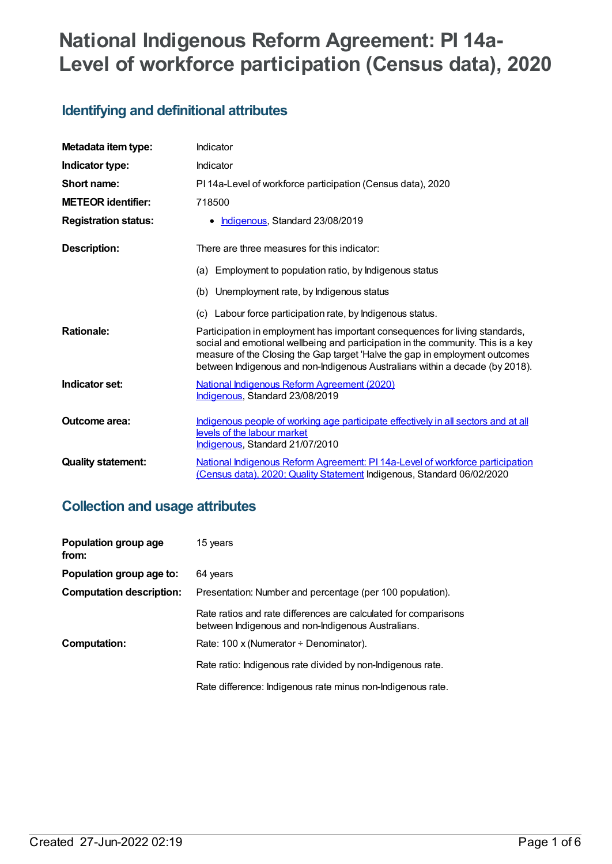# **National Indigenous Reform Agreement: PI 14a-Level of workforce participation (Census data), 2020**

# **Identifying and definitional attributes**

| Metadata item type:         | Indicator                                                                                                                                                                                                                                                                                                                       |
|-----------------------------|---------------------------------------------------------------------------------------------------------------------------------------------------------------------------------------------------------------------------------------------------------------------------------------------------------------------------------|
| Indicator type:             | Indicator                                                                                                                                                                                                                                                                                                                       |
| Short name:                 | PI 14a-Level of workforce participation (Census data), 2020                                                                                                                                                                                                                                                                     |
| <b>METEOR identifier:</b>   | 718500                                                                                                                                                                                                                                                                                                                          |
| <b>Registration status:</b> | Indigenous, Standard 23/08/2019<br>٠                                                                                                                                                                                                                                                                                            |
| <b>Description:</b>         | There are three measures for this indicator:                                                                                                                                                                                                                                                                                    |
|                             | Employment to population ratio, by Indigenous status<br>(a)                                                                                                                                                                                                                                                                     |
|                             | Unemployment rate, by Indigenous status<br>(b)                                                                                                                                                                                                                                                                                  |
|                             | (c) Labour force participation rate, by Indigenous status.                                                                                                                                                                                                                                                                      |
| <b>Rationale:</b>           | Participation in employment has important consequences for living standards,<br>social and emotional wellbeing and participation in the community. This is a key<br>measure of the Closing the Gap target 'Halve the gap in employment outcomes<br>between Indigenous and non-Indigenous Australians within a decade (by 2018). |
| Indicator set:              | National Indigenous Reform Agreement (2020)<br>Indigenous, Standard 23/08/2019                                                                                                                                                                                                                                                  |
| Outcome area:               | Indigenous people of working age participate effectively in all sectors and at all<br>levels of the labour market<br>Indigenous, Standard 21/07/2010                                                                                                                                                                            |
| <b>Quality statement:</b>   | National Indigenous Reform Agreement: PI 14a-Level of workforce participation<br>(Census data), 2020; Quality Statement Indigenous, Standard 06/02/2020                                                                                                                                                                         |

# **Collection and usage attributes**

| Population group age<br>from:   | 15 years                                                                                                              |
|---------------------------------|-----------------------------------------------------------------------------------------------------------------------|
| Population group age to:        | 64 years                                                                                                              |
| <b>Computation description:</b> | Presentation: Number and percentage (per 100 population).                                                             |
|                                 | Rate ratios and rate differences are calculated for comparisons<br>between Indigenous and non-Indigenous Australians. |
| <b>Computation:</b>             | Rate: 100 x (Numerator $\div$ Denominator).                                                                           |
|                                 | Rate ratio: Indigenous rate divided by non-Indigenous rate.                                                           |
|                                 | Rate difference: Indigenous rate minus non-Indigenous rate.                                                           |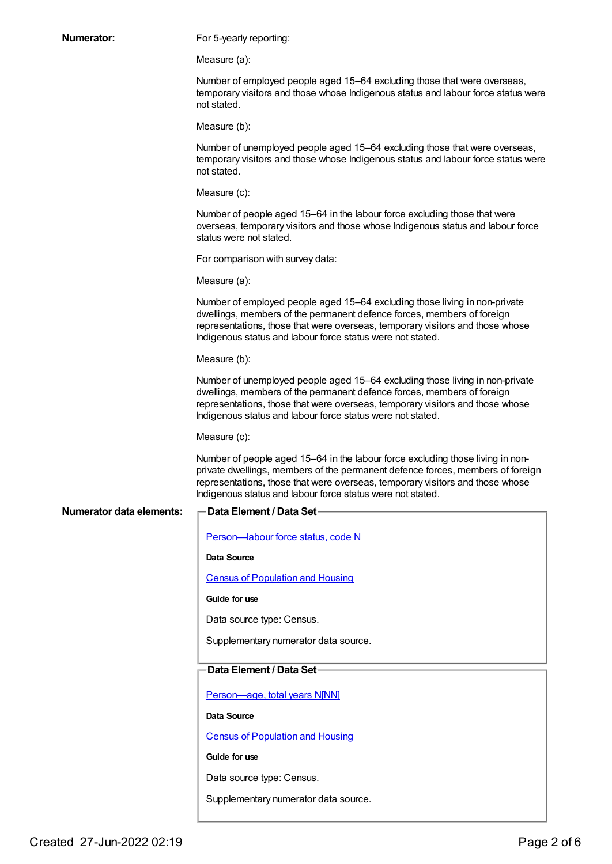| <b>Numerator:</b>               | For 5-yearly reporting:                                                                                                                                                                                                                                                                                         |
|---------------------------------|-----------------------------------------------------------------------------------------------------------------------------------------------------------------------------------------------------------------------------------------------------------------------------------------------------------------|
|                                 | Measure (a):                                                                                                                                                                                                                                                                                                    |
|                                 | Number of employed people aged 15-64 excluding those that were overseas,<br>temporary visitors and those whose Indigenous status and labour force status were<br>not stated.                                                                                                                                    |
|                                 | Measure (b):                                                                                                                                                                                                                                                                                                    |
|                                 | Number of unemployed people aged 15-64 excluding those that were overseas,<br>temporary visitors and those whose Indigenous status and labour force status were<br>not stated.                                                                                                                                  |
|                                 | Measure (c):                                                                                                                                                                                                                                                                                                    |
|                                 | Number of people aged 15–64 in the labour force excluding those that were<br>overseas, temporary visitors and those whose Indigenous status and labour force<br>status were not stated.                                                                                                                         |
|                                 | For comparison with survey data:                                                                                                                                                                                                                                                                                |
|                                 | Measure (a):                                                                                                                                                                                                                                                                                                    |
|                                 | Number of employed people aged 15-64 excluding those living in non-private<br>dwellings, members of the permanent defence forces, members of foreign<br>representations, those that were overseas, temporary visitors and those whose<br>Indigenous status and labour force status were not stated.             |
|                                 | Measure (b):                                                                                                                                                                                                                                                                                                    |
|                                 | Number of unemployed people aged 15-64 excluding those living in non-private<br>dwellings, members of the permanent defence forces, members of foreign<br>representations, those that were overseas, temporary visitors and those whose<br>Indigenous status and labour force status were not stated.           |
|                                 | Measure (c):                                                                                                                                                                                                                                                                                                    |
|                                 | Number of people aged 15–64 in the labour force excluding those living in non-<br>private dwellings, members of the permanent defence forces, members of foreign<br>representations, those that were overseas, temporary visitors and those whose<br>Indigenous status and labour force status were not stated. |
| <b>Numerator data elements:</b> | Data Element / Data Set-                                                                                                                                                                                                                                                                                        |
|                                 | Person-labour force status, code N                                                                                                                                                                                                                                                                              |
|                                 | Data Source                                                                                                                                                                                                                                                                                                     |
|                                 | <b>Census of Population and Housing</b>                                                                                                                                                                                                                                                                         |
|                                 | Guide for use                                                                                                                                                                                                                                                                                                   |
|                                 | Data source type: Census.                                                                                                                                                                                                                                                                                       |
|                                 | Supplementary numerator data source.                                                                                                                                                                                                                                                                            |
|                                 | Data Element / Data Set-                                                                                                                                                                                                                                                                                        |
|                                 | Person-age, total years N[NN]                                                                                                                                                                                                                                                                                   |
|                                 | Data Source                                                                                                                                                                                                                                                                                                     |
|                                 | <b>Census of Population and Housing</b>                                                                                                                                                                                                                                                                         |
|                                 | Guide for use                                                                                                                                                                                                                                                                                                   |
|                                 | Data source type: Census.                                                                                                                                                                                                                                                                                       |

Supplementary numerator data source.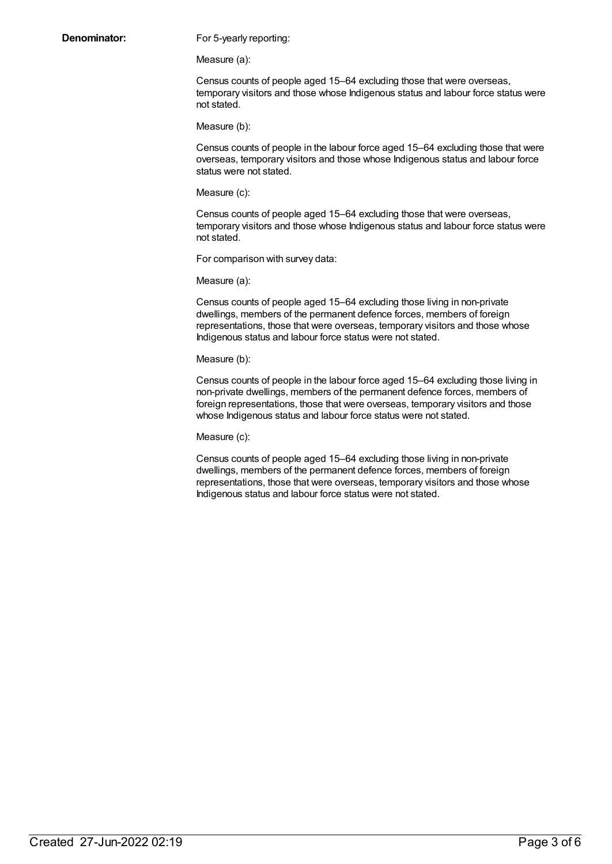**Denominator:** For 5-yearly reporting:

Measure (a):

Census counts of people aged 15–64 excluding those that were overseas, temporary visitors and those whose Indigenous status and labour force status were not stated.

Measure (b):

Census counts of people in the labour force aged 15–64 excluding those that were overseas, temporary visitors and those whose Indigenous status and labour force status were not stated.

Measure (c):

Census counts of people aged 15–64 excluding those that were overseas, temporary visitors and those whose Indigenous status and labour force status were not stated.

For comparison with survey data:

Measure (a):

Census counts of people aged 15–64 excluding those living in non-private dwellings, members of the permanent defence forces, members of foreign representations, those that were overseas, temporary visitors and those whose Indigenous status and labour force status were not stated.

Measure (b):

Census counts of people in the labour force aged 15–64 excluding those living in non-private dwellings, members of the permanent defence forces, members of foreign representations, those that were overseas, temporary visitors and those whose Indigenous status and labour force status were not stated.

Measure (c):

Census counts of people aged 15–64 excluding those living in non-private dwellings, members of the permanent defence forces, members of foreign representations, those that were overseas, temporary visitors and those whose Indigenous status and labour force status were not stated.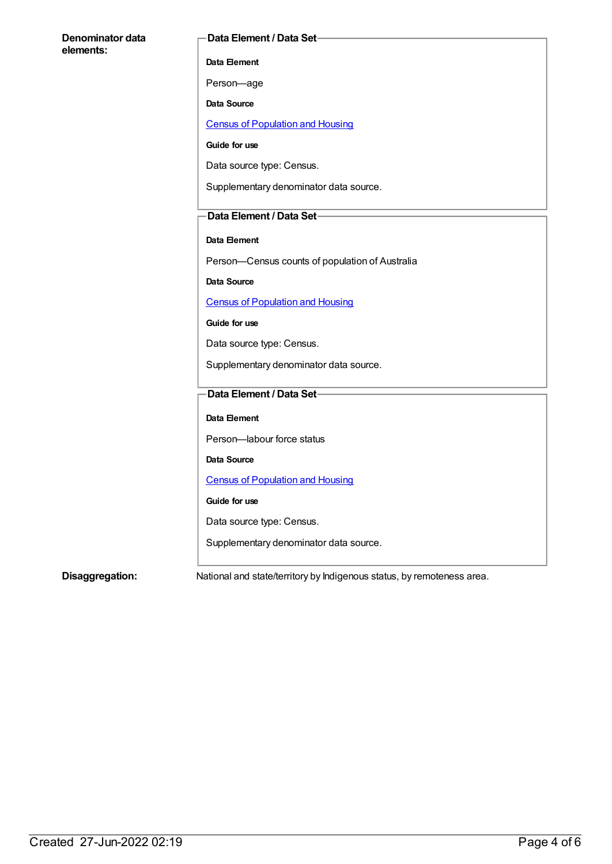#### **Denominator data elements:**

#### **Data Element / Data Set**

**Data Element**

Person—age

**Data Source**

Census of [Population](https://meteor.aihw.gov.au/content/393890) and Housing

**Guide for use**

Data source type: Census.

Supplementary denominator data source.

#### **Data Element / Data Set**

#### **Data Element**

Person—Census counts of population of Australia

**Data Source**

Census of [Population](https://meteor.aihw.gov.au/content/393890) and Housing

**Guide for use**

Data source type: Census.

Supplementary denominator data source.

#### **Data Element / Data Set**

**Data Element**

Person—labour force status

**Data Source**

Census of [Population](https://meteor.aihw.gov.au/content/393890) and Housing

**Guide for use**

Data source type: Census.

Supplementary denominator data source.

**Disaggregation:** National and state/territory by Indigenous status, by remoteness area.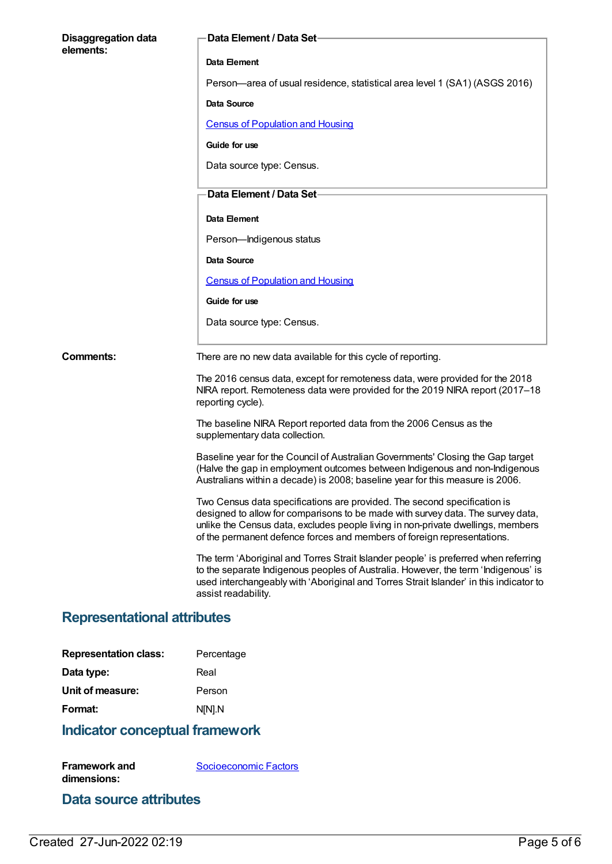| <b>Disaggregation data</b><br>elements: | Data Element / Data Set-                                                                                                                                                                                                                                                                                                   |
|-----------------------------------------|----------------------------------------------------------------------------------------------------------------------------------------------------------------------------------------------------------------------------------------------------------------------------------------------------------------------------|
|                                         | Data Element                                                                                                                                                                                                                                                                                                               |
|                                         | Person—area of usual residence, statistical area level 1 (SA1) (ASGS 2016)                                                                                                                                                                                                                                                 |
|                                         | Data Source                                                                                                                                                                                                                                                                                                                |
|                                         | <b>Census of Population and Housing</b>                                                                                                                                                                                                                                                                                    |
|                                         | Guide for use                                                                                                                                                                                                                                                                                                              |
|                                         | Data source type: Census.                                                                                                                                                                                                                                                                                                  |
|                                         | Data Element / Data Set-                                                                                                                                                                                                                                                                                                   |
|                                         | Data Element                                                                                                                                                                                                                                                                                                               |
|                                         | Person-Indigenous status                                                                                                                                                                                                                                                                                                   |
|                                         | Data Source                                                                                                                                                                                                                                                                                                                |
|                                         | <b>Census of Population and Housing</b>                                                                                                                                                                                                                                                                                    |
|                                         | Guide for use                                                                                                                                                                                                                                                                                                              |
|                                         | Data source type: Census.                                                                                                                                                                                                                                                                                                  |
| <b>Comments:</b>                        | There are no new data available for this cycle of reporting.                                                                                                                                                                                                                                                               |
|                                         | The 2016 census data, except for remoteness data, were provided for the 2018<br>NIRA report. Remoteness data were provided for the 2019 NIRA report (2017–18<br>reporting cycle).                                                                                                                                          |
|                                         | The baseline NIRA Report reported data from the 2006 Census as the<br>supplementary data collection.                                                                                                                                                                                                                       |
|                                         | Baseline year for the Council of Australian Governments' Closing the Gap target<br>(Halve the gap in employment outcomes between Indigenous and non-Indigenous<br>Australians within a decade) is 2008; baseline year for this measure is 2006.                                                                            |
|                                         | Two Census data specifications are provided. The second specification is<br>designed to allow for comparisons to be made with survey data. The survey data,<br>unlike the Census data, excludes people living in non-private dwellings, members<br>of the permanent defence forces and members of foreign representations. |
|                                         | The term 'Aboriginal and Torres Strait Islander people' is preferred when referring<br>to the separate Indigenous peoples of Australia. However, the term 'Indigenous' is<br>used interchangeably with 'Aboriginal and Torres Strait Islander' in this indicator to<br>assist readability.                                 |
| Donrocontational attributoc             |                                                                                                                                                                                                                                                                                                                            |

#### **Representational attributes**

| <b>Representation class:</b> | Percentage |
|------------------------------|------------|
| Data type:                   | Real       |
| Unit of measure:             | Person     |
| Format:                      | N[N].N     |
|                              |            |

# **Indicator conceptual framework**

**Framework and dimensions:** [Socioeconomic](https://meteor.aihw.gov.au/content/410674) Factors

## **Data source attributes**